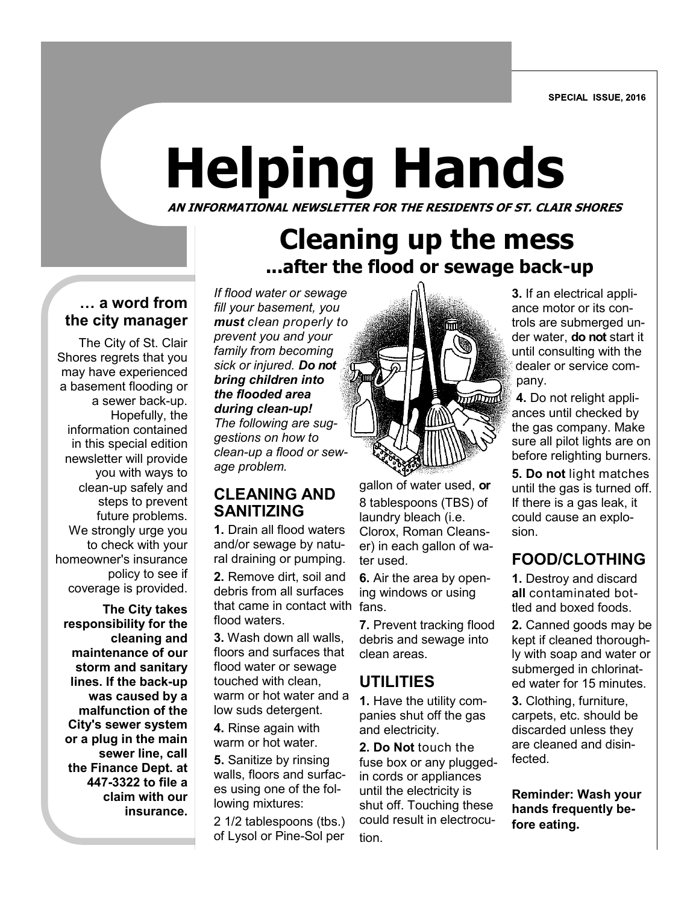SPECIAL ISSUE, 2016

# **Helping Hands**

AN INFORMATIONAL NEWSLETTER FOR RESIDENTS OF ST. CLAIR SHORES **AN INFORMATIONAL NEWSLETTER FOR THE RESIDENTS OF ST. CLAIR SHORES**

## **Cleaning up the mess ...after the flood or sewage back-up**

#### **… a word from the city manager**

The City of St. Clair Shores regrets that you may have experienced a basement flooding or a sewer back-up. Hopefully, the information contained in this special edition newsletter will provide you with ways to clean-up safely and steps to prevent future problems. We strongly urge you to check with your homeowner's insurance policy to see if coverage is provided.

 **The City takes responsibility for the cleaning and maintenance of our storm and sanitary lines. If the back-up was caused by a malfunction of the City's sewer system or a plug in the main sewer line, call the Finance Dept. at 447-3322 to file a claim with our insurance.** 

*If flood water or sewage fill your basement, you must clean properly to prevent you and your family from becoming sick or injured. Do not bring children into the flooded area during clean-up! The following are suggestions on how to clean-up a flood or sewage problem.*

#### **CLEANING AND SANITIZING**

**1.** Drain all flood waters and/or sewage by natural draining or pumping.

that came in contact with fans. **2.** Remove dirt, soil and debris from all surfaces flood waters.

**3.** Wash down all walls, floors and surfaces that flood water or sewage touched with clean, warm or hot water and a low suds detergent.

**4.** Rinse again with warm or hot water.

**5.** Sanitize by rinsing walls, floors and surfaces using one of the following mixtures:

2 1/2 tablespoons (tbs.) of Lysol or Pine-Sol per



gallon of water used, **or** 8 tablespoons (TBS) of laundry bleach (i.e. Clorox, Roman Cleanser) in each gallon of water used.

**6.** Air the area by opening windows or using

**7.** Prevent tracking flood debris and sewage into clean areas.

## **UTILITIES**

**1.** Have the utility companies shut off the gas and electricity.

**2. Do Not** touch the fuse box or any pluggedin cords or appliances until the electricity is shut off. Touching these could result in electrocution.

**3.** If an electrical appliance motor or its controls are submerged under water, **do not** start it until consulting with the dealer or service company.

**4.** Do not relight appliances until checked by the gas company. Make sure all pilot lights are on before relighting burners.

**5. Do not** light matches until the gas is turned off. If there is a gas leak, it could cause an explosion.

## **FOOD/CLOTHING**

**1.** Destroy and discard **all** contaminated bottled and boxed foods.

**2.** Canned goods may be kept if cleaned thoroughly with soap and water or submerged in chlorinated water for 15 minutes.

**3.** Clothing, furniture, carpets, etc. should be discarded unless they are cleaned and disinfected.

**Reminder: Wash your hands frequently before eating.**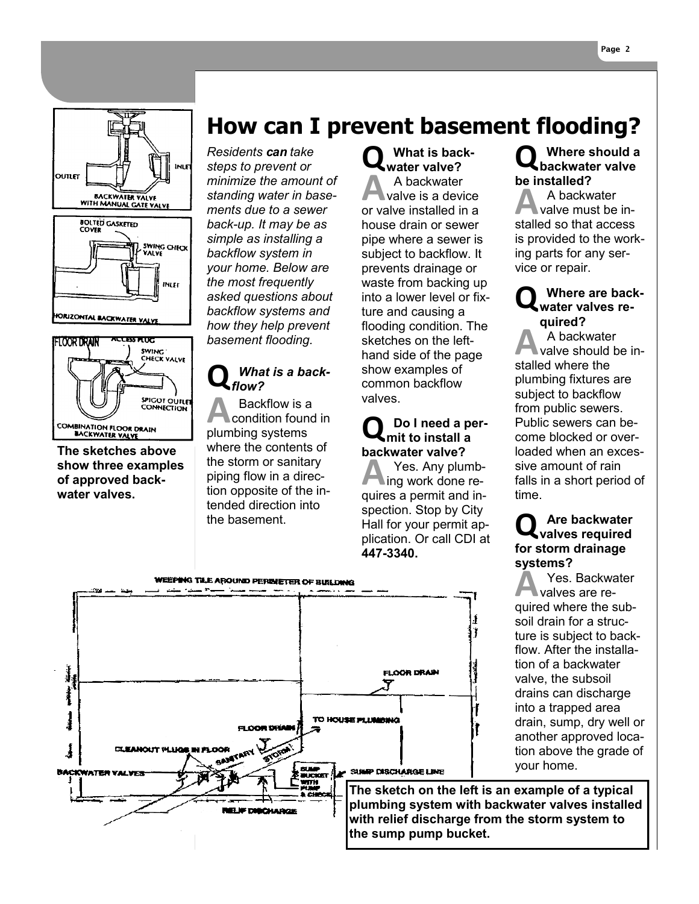





**The sketches above show three examples of approved backwater valves.** 

## **How can I prevent basement flooding?**

*Residents can take steps to prevent or minimize the amount of standing water in basements due to a sewer back-up. It may be as simple as installing a backflow system in your home. Below are the most frequently asked questions about backflow systems and how they help prevent basement flooding.*

#### What is a back*flow?*

**A** Backflow is a<br>condition foun<br>plumbing systems Backflow is a condition found in where the contents of the storm or sanitary piping flow in a direction opposite of the intended direction into the basement.

**Q What is backwater valve? A** backwater<br>valve is a device<br>or valve installed in a A backwater valve is a device house drain or sewer pipe where a sewer is subject to backflow. It prevents drainage or waste from backing up into a lower level or fixture and causing a flooding condition. The sketches on the lefthand side of the page show examples of common backflow valves.

#### **Q Do I need a permit to install a backwater valve?**

**A** Yes. Any plumb-<br>ing work done re-<br>quires a permit and in-Yes. Any plumbing work done respection. Stop by City Hall for your permit application. Or call CDI at **447-3340.**

#### **Q Where should a backwater valve be installed?**

A<br>
A backwater<br>
valve must be in-<br>
stalled so that access A backwater valve must be inis provided to the working parts for any service or repair.

## **Q Where are back-water valves required?**

**A**<br>A backwater<br>stalled where the A backwater valve should be inplumbing fixtures are subject to backflow from public sewers. Public sewers can become blocked or overloaded when an excessive amount of rain falls in a short period of time.

## **Q Are backwater valves required for storm drainage systems?**

**A** Yes. Backwater<br>
valves are re-<br>
quired where the sub-Yes. Backwater valves are resoil drain for a structure is subject to backflow. After the installation of a backwater valve, the subsoil drains can discharge into a trapped area drain, sump, dry well or another approved location above the grade of your home.

WEEPING TILE AROUND PERIMETER OF BUILDING j. **FLOOR DRAIN** TO HOUSE PILINIBING EI COR DELANI Î **CLEANOUT PLUGE IN FLOOR** SUMP DISCHARGE LINE **BACKWATER VALVES NUCKER The sketch on the left is an example of a typical plumbing system with backwater valves installed RELIF DISCHARGE with relief discharge from the storm system to the sump pump bucket.**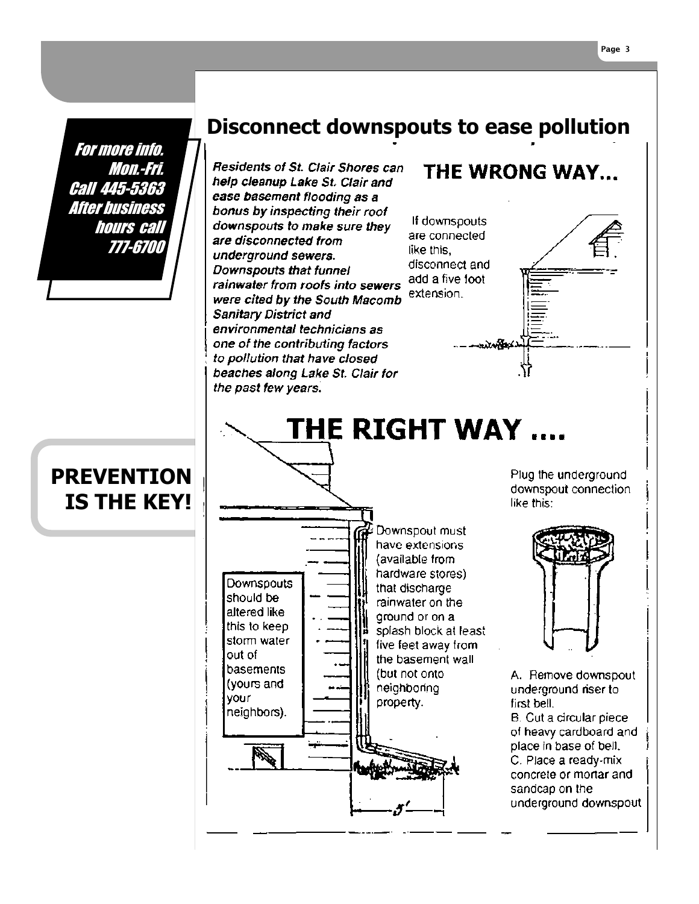For more info. Mon.-Fri. Call 445-5363 After business hours call 777-6700

## **Disconnect downspouts to ease pollution**

THE RIGHT WAY ....

Residents of St. Clair Shores can help cleanup Lake St. Clair and ease basement flooding as a bonus by inspecting their roof downspouts to make sure they are disconnected from underground sewers. Downspouts that funnel rainwater from roofs into sewers were cited by the South Macomb **Sanitary District and** environmental technicians as one of the contributing factors to pollution that have closed beaches along Lake St. Clair for the past few years.

If downspouts are connected. like this. disconnect and add a five foot extension.

THE WRONG WAY...

. . . . <del>. 8</del>4

## **PREVENTION IS THE KEY!**



Plug the underground downspout connection like this:



A. Remove downspout underground riser to first bell. **B.** Cut a circular piece of heavy cardboard and place in base of bell. C. Place a ready-mix concrete or mortar and sandcap on the underground downspout